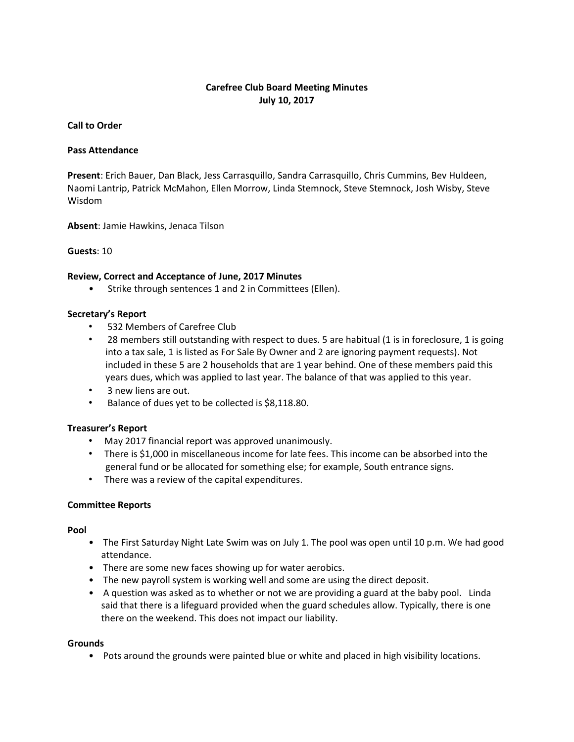# **Carefree Club Board Meeting Minutes July 10, 2017**

### **Call to Order**

#### **Pass Attendance**

**Present**: Erich Bauer, Dan Black, Jess Carrasquillo, Sandra Carrasquillo, Chris Cummins, Bev Huldeen, Naomi Lantrip, Patrick McMahon, Ellen Morrow, Linda Stemnock, Steve Stemnock, Josh Wisby, Steve Wisdom

**Absent**: Jamie Hawkins, Jenaca Tilson

#### **Guests**: 10

#### **Review, Correct and Acceptance of June, 2017 Minutes**

• Strike through sentences 1 and 2 in Committees (Ellen).

#### **Secretary's Report**

- 532 Members of Carefree Club
- 28 members still outstanding with respect to dues. 5 are habitual (1 is in foreclosure, 1 is going into a tax sale, 1 is listed as For Sale By Owner and 2 are ignoring payment requests). Not included in these 5 are 2 households that are 1 year behind. One of these members paid this years dues, which was applied to last year. The balance of that was applied to this year.
- 3 new liens are out.
- Balance of dues yet to be collected is \$8,118.80.

## **Treasurer's Report**

- May 2017 financial report was approved unanimously.
- There is \$1,000 in miscellaneous income for late fees. This income can be absorbed into the general fund or be allocated for something else; for example, South entrance signs.
- There was a review of the capital expenditures.

## **Committee Reports**

**Pool** 

- The First Saturday Night Late Swim was on July 1. The pool was open until 10 p.m. We had good attendance.
- There are some new faces showing up for water aerobics.
- The new payroll system is working well and some are using the direct deposit.
- A question was asked as to whether or not we are providing a guard at the baby pool. Linda said that there is a lifeguard provided when the guard schedules allow. Typically, there is one there on the weekend. This does not impact our liability.

#### **Grounds**

• Pots around the grounds were painted blue or white and placed in high visibility locations.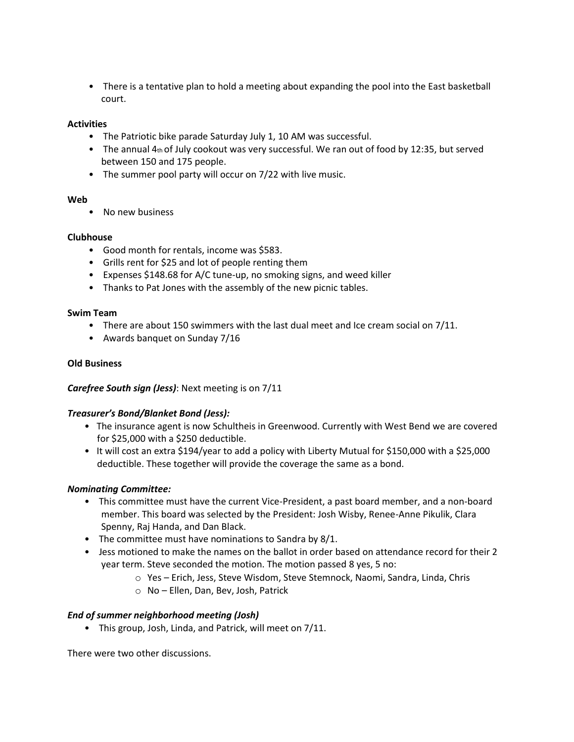• There is a tentative plan to hold a meeting about expanding the pool into the East basketball court.

## **Activities**

- The Patriotic bike parade Saturday July 1, 10 AM was successful.
- The annual 4th of July cookout was very successful. We ran out of food by 12:35, but served between 150 and 175 people.
- The summer pool party will occur on 7/22 with live music.

#### **Web**

• No new business

## **Clubhouse**

- Good month for rentals, income was \$583.
- Grills rent for \$25 and lot of people renting them
- Expenses \$148.68 for A/C tune-up, no smoking signs, and weed killer
- Thanks to Pat Jones with the assembly of the new picnic tables.

#### **Swim Team**

- There are about 150 swimmers with the last dual meet and Ice cream social on 7/11.
- Awards banquet on Sunday 7/16

## **Old Business**

## *Carefree South sign (Jess)*: Next meeting is on 7/11

## *Treasurer's Bond/Blanket Bond (Jess):*

- The insurance agent is now Schultheis in Greenwood. Currently with West Bend we are covered for \$25,000 with a \$250 deductible.
- It will cost an extra \$194/year to add a policy with Liberty Mutual for \$150,000 with a \$25,000 deductible. These together will provide the coverage the same as a bond.

## *Nominating Committee:*

- This committee must have the current Vice-President, a past board member, and a non-board member. This board was selected by the President: Josh Wisby, Renee-Anne Pikulik, Clara Spenny, Raj Handa, and Dan Black.
- The committee must have nominations to Sandra by 8/1.
- Jess motioned to make the names on the ballot in order based on attendance record for their 2 year term. Steve seconded the motion. The motion passed 8 yes, 5 no:
	- o Yes Erich, Jess, Steve Wisdom, Steve Stemnock, Naomi, Sandra, Linda, Chris
	- o No Ellen, Dan, Bev, Josh, Patrick

## *End of summer neighborhood meeting (Josh)*

• This group, Josh, Linda, and Patrick, will meet on 7/11.

There were two other discussions.